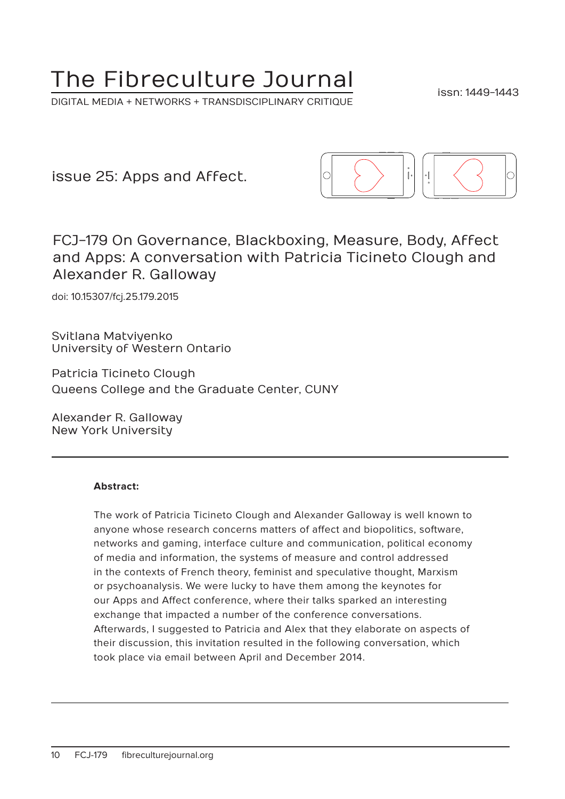# The Fibreculture Journal

DIGITAL MEDIA + NETWORKS + TRANSDISCIPLINARY CRITIQUE

issn: 1449-1443

issue 25: Apps and Affect.



FCJ-179 On Governance, Blackboxing, Measure, Body, Affect and Apps: A conversation with Patricia Ticineto Clough and Alexander R. Galloway

doi: 10.15307/fcj.25.179.2015

Svitlana Matviyenko University of Western Ontario

Patricia Ticineto Clough Queens College and the Graduate Center, CUNY

Alexander R. Galloway New York University

#### **Abstract:**

The work of Patricia Ticineto Clough and Alexander Galloway is well known to anyone whose research concerns matters of affect and biopolitics, software, networks and gaming, interface culture and communication, political economy of media and information, the systems of measure and control addressed in the contexts of French theory, feminist and speculative thought, Marxism or psychoanalysis. We were lucky to have them among the keynotes for our Apps and Affect conference, where their talks sparked an interesting exchange that impacted a number of the conference conversations. Afterwards, I suggested to Patricia and Alex that they elaborate on aspects of their discussion, this invitation resulted in the following conversation, which took place via email between April and December 2014.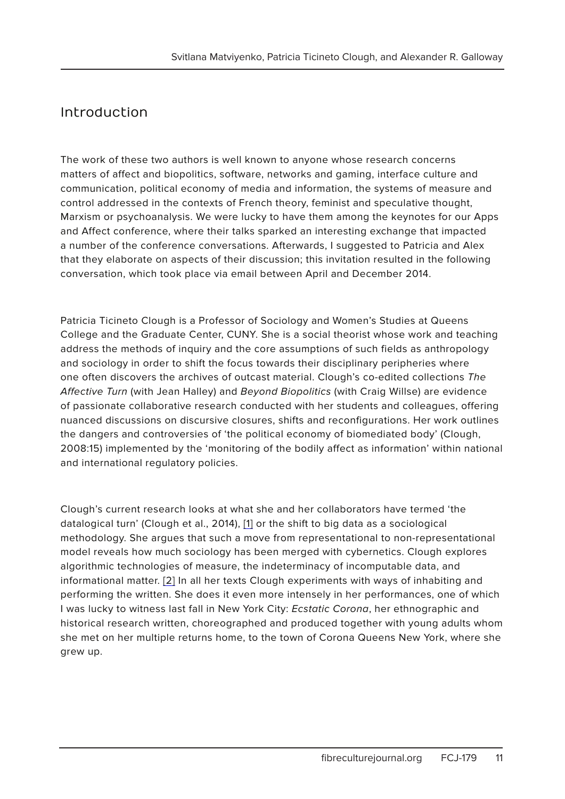## Introduction

The work of these two authors is well known to anyone whose research concerns matters of affect and biopolitics, software, networks and gaming, interface culture and communication, political economy of media and information, the systems of measure and control addressed in the contexts of French theory, feminist and speculative thought, Marxism or psychoanalysis. We were lucky to have them among the keynotes for our Apps and Affect conference, where their talks sparked an interesting exchange that impacted a number of the conference conversations. Afterwards, I suggested to Patricia and Alex that they elaborate on aspects of their discussion; this invitation resulted in the following conversation, which took place via email between April and December 2014.

Patricia Ticineto Clough is a Professor of Sociology and Women's Studies at Queens College and the Graduate Center, CUNY. She is a social theorist whose work and teaching address the methods of inquiry and the core assumptions of such fields as anthropology and sociology in order to shift the focus towards their disciplinary peripheries where one often discovers the archives of outcast material. Clough's co-edited collections The Affective Turn (with Jean Halley) and Beyond Biopolitics (with Craig Willse) are evidence of passionate collaborative research conducted with her students and colleagues, offering nuanced discussions on discursive closures, shifts and reconfigurations. Her work outlines the dangers and controversies of 'the political economy of biomediated body' (Clough, 2008:15) implemented by the 'monitoring of the bodily affect as information' within national and international regulatory policies.

Clough's current research looks at what she and her collaborators have termed 'the datalogical turn' (Clough et al., 2014), [1] or the shift to big data as a sociological methodology. She argues that such a move from representational to non-representational model reveals how much sociology has been merged with cybernetics. Clough explores algorithmic technologies of measure, the indeterminacy of incomputable data, and informational matter. [2] In all her texts Clough experiments with ways of inhabiting and performing the written. She does it even more intensely in her performances, one of which I was lucky to witness last fall in New York City: Ecstatic Corona, her ethnographic and historical research written, choreographed and produced together with young adults whom she met on her multiple returns home, to the town of Corona Queens New York, where she grew up.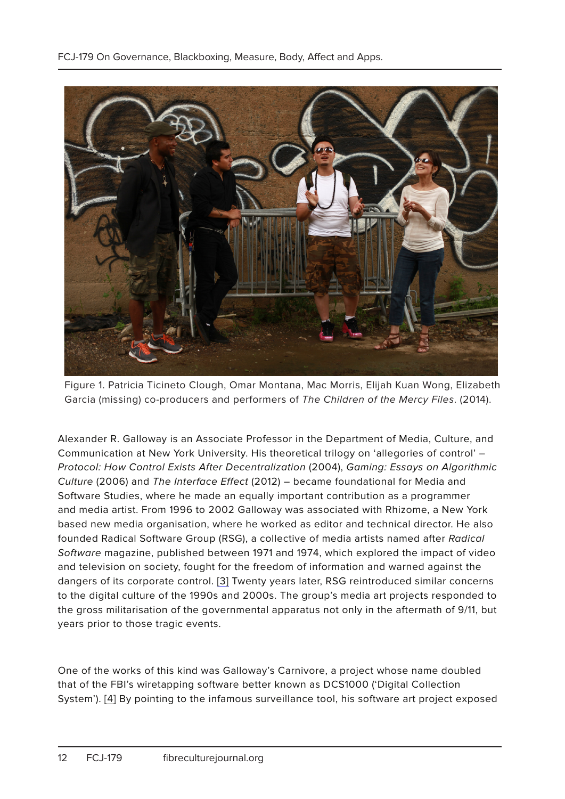

Figure 1. Patricia Ticineto Clough, Omar Montana, Mac Morris, Elijah Kuan Wong, Elizabeth Garcia (missing) co-producers and performers of The Children of the Mercy Files. (2014).

Alexander R. Galloway is an Associate Professor in the Department of Media, Culture, and Communication at New York University. His theoretical trilogy on 'allegories of control' – Protocol: How Control Exists After Decentralization (2004), Gaming: Essays on Algorithmic Culture (2006) and The Interface Effect (2012) – became foundational for Media and Software Studies, where he made an equally important contribution as a programmer and media artist. From 1996 to 2002 Galloway was associated with Rhizome, a New York based new media organisation, where he worked as editor and technical director. He also founded Radical Software Group (RSG), a collective of media artists named after Radical Software magazine, published between 1971 and 1974, which explored the impact of video and television on society, fought for the freedom of information and warned against the dangers of its corporate control. [3] Twenty years later, RSG reintroduced similar concerns to the digital culture of the 1990s and 2000s. The group's media art projects responded to the gross militarisation of the governmental apparatus not only in the aftermath of 9/11, but years prior to those tragic events.

One of the works of this kind was Galloway's Carnivore, a project whose name doubled that of the FBI's wiretapping software better known as DCS1000 ('Digital Collection System'). [4] By pointing to the infamous surveillance tool, his software art project exposed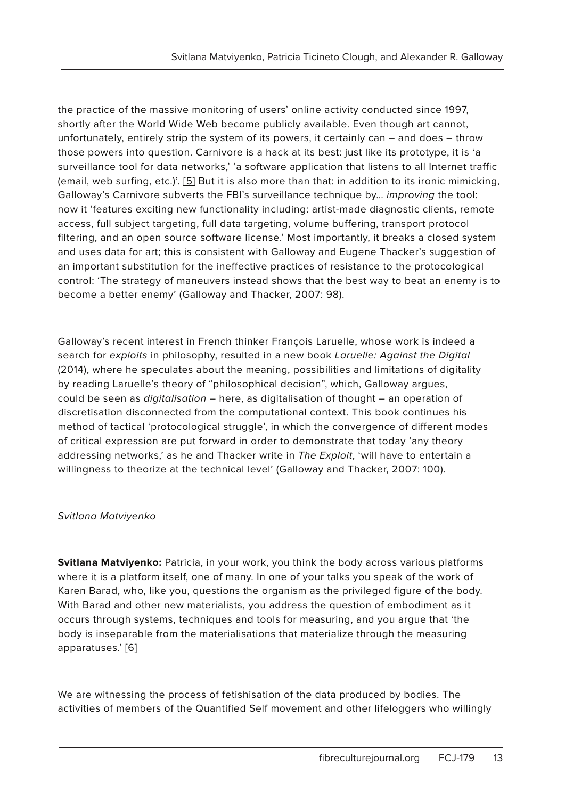the practice of the massive monitoring of users' online activity conducted since 1997, shortly after the World Wide Web become publicly available. Even though art cannot, unfortunately, entirely strip the system of its powers, it certainly can – and does – throw those powers into question. Carnivore is a hack at its best: just like its prototype, it is 'a surveillance tool for data networks,' 'a software application that listens to all Internet traffic (email, web surfing, etc.)'. [5] But it is also more than that: in addition to its ironic mimicking, Galloway's Carnivore subverts the FBI's surveillance technique by... *improving* the tool: now it 'features exciting new functionality including: artist-made diagnostic clients, remote access, full subject targeting, full data targeting, volume buffering, transport protocol filtering, and an open source software license.' Most importantly, it breaks a closed system and uses data for art; this is consistent with Galloway and Eugene Thacker's suggestion of an important substitution for the ineffective practices of resistance to the protocological control: 'The strategy of maneuvers instead shows that the best way to beat an enemy is to become a better enemy' (Galloway and Thacker, 2007: 98).

Galloway's recent interest in French thinker François Laruelle, whose work is indeed a search for exploits in philosophy, resulted in a new book Laruelle: Against the Digital (2014), where he speculates about the meaning, possibilities and limitations of digitality by reading Laruelle's theory of "philosophical decision", which, Galloway argues, could be seen as digitalisation – here, as digitalisation of thought – an operation of discretisation disconnected from the computational context. This book continues his method of tactical 'protocological struggle', in which the convergence of different modes of critical expression are put forward in order to demonstrate that today 'any theory addressing networks,' as he and Thacker write in The Exploit, 'will have to entertain a willingness to theorize at the technical level' (Galloway and Thacker, 2007: 100).

#### Svitlana Matviyenko

**Svitlana Matviyenko:** Patricia, in your work, you think the body across various platforms where it is a platform itself, one of many. In one of your talks you speak of the work of Karen Barad, who, like you, questions the organism as the privileged figure of the body. With Barad and other new materialists, you address the question of embodiment as it occurs through systems, techniques and tools for measuring, and you argue that 'the body is inseparable from the materialisations that materialize through the measuring apparatuses.' [6]

We are witnessing the process of fetishisation of the data produced by bodies. The activities of members of the Quantified Self movement and other lifeloggers who willingly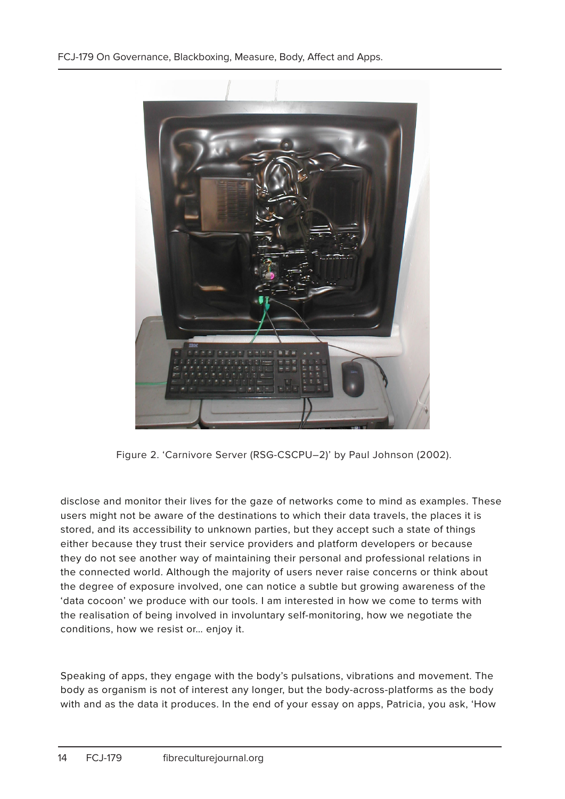FCJ-179 On Governance, Blackboxing, Measure, Body, Affect and Apps.



Figure 2. 'Carnivore Server (RSG-CSCPU–2)' by Paul Johnson (2002).

disclose and monitor their lives for the gaze of networks come to mind as examples. These users might not be aware of the destinations to which their data travels, the places it is stored, and its accessibility to unknown parties, but they accept such a state of things either because they trust their service providers and platform developers or because they do not see another way of maintaining their personal and professional relations in the connected world. Although the majority of users never raise concerns or think about the degree of exposure involved, one can notice a subtle but growing awareness of the 'data cocoon' we produce with our tools. I am interested in how we come to terms with the realisation of being involved in involuntary self-monitoring, how we negotiate the conditions, how we resist or… enjoy it.

Speaking of apps, they engage with the body's pulsations, vibrations and movement. The body as organism is not of interest any longer, but the body-across-platforms as the body with and as the data it produces. In the end of your essay on apps, Patricia, you ask, 'How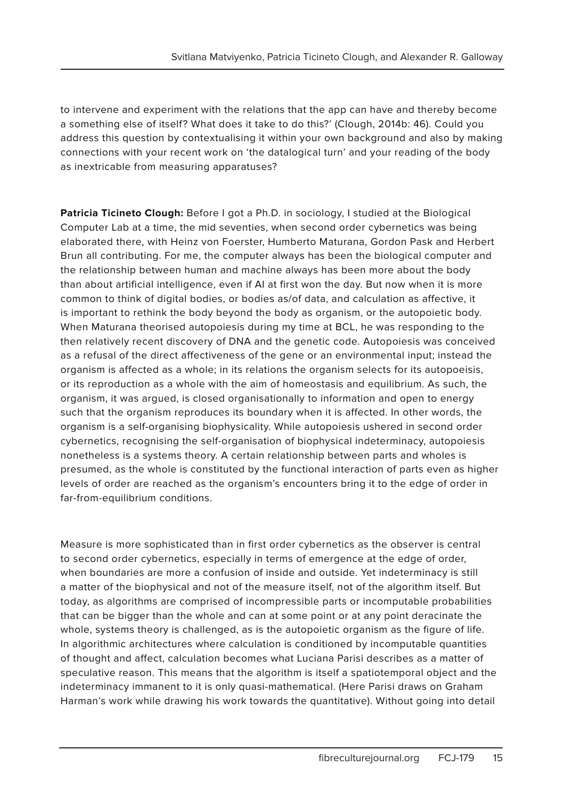to intervene and experiment with the relations that the app can have and thereby become a something else of itself? What does it take to do this?' (Clough, 2014b: 46). Could you address this question by contextualising it within your own background and also by making connections with your recent work on 'the datalogical turn' and your reading of the body as inextricable from measuring apparatuses?

**Patricia Ticineto Clough:** Before I got a Ph.D. in sociology, I studied at the Biological Computer Lab at a time, the mid seventies, when second order cybernetics was being elaborated there, with Heinz von Foerster, Humberto Maturana, Gordon Pask and Herbert Brun all contributing. For me, the computer always has been the biological computer and the relationship between human and machine always has been more about the body than about artificial intelligence, even if AI at first won the day. But now when it is more common to think of digital bodies, or bodies as/of data, and calculation as affective, it is important to rethink the body beyond the body as organism, or the autopoietic body. When Maturana theorised autopoiesis during my time at BCL, he was responding to the then relatively recent discovery of DNA and the genetic code. Autopoiesis was conceived as a refusal of the direct affectiveness of the gene or an environmental input; instead the organism is affected as a whole; in its relations the organism selects for its autopoeisis, or its reproduction as a whole with the aim of homeostasis and equilibrium. As such, the organism, it was argued, is closed organisationally to information and open to energy such that the organism reproduces its boundary when it is affected. In other words, the organism is a self-organising biophysicality. While autopoiesis ushered in second order cybernetics, recognising the self-organisation of biophysical indeterminacy, autopoiesis nonetheless is a systems theory. A certain relationship between parts and wholes is presumed, as the whole is constituted by the functional interaction of parts even as higher levels of order are reached as the organism's encounters bring it to the edge of order in far-from-equilibrium conditions.

Measure is more sophisticated than in first order cybernetics as the observer is central to second order cybernetics, especially in terms of emergence at the edge of order, when boundaries are more a confusion of inside and outside. Yet indeterminacy is still a matter of the biophysical and not of the measure itself, not of the algorithm itself. But today, as algorithms are comprised of incompressible parts or incomputable probabilities that can be bigger than the whole and can at some point or at any point deracinate the whole, systems theory is challenged, as is the autopoietic organism as the figure of life. In algorithmic architectures where calculation is conditioned by incomputable quantities of thought and affect, calculation becomes what Luciana Parisi describes as a matter of speculative reason. This means that the algorithm is itself a spatiotemporal object and the indeterminacy immanent to it is only quasi-mathematical. (Here Parisi draws on Graham Harman's work while drawing his work towards the quantitative). Without going into detail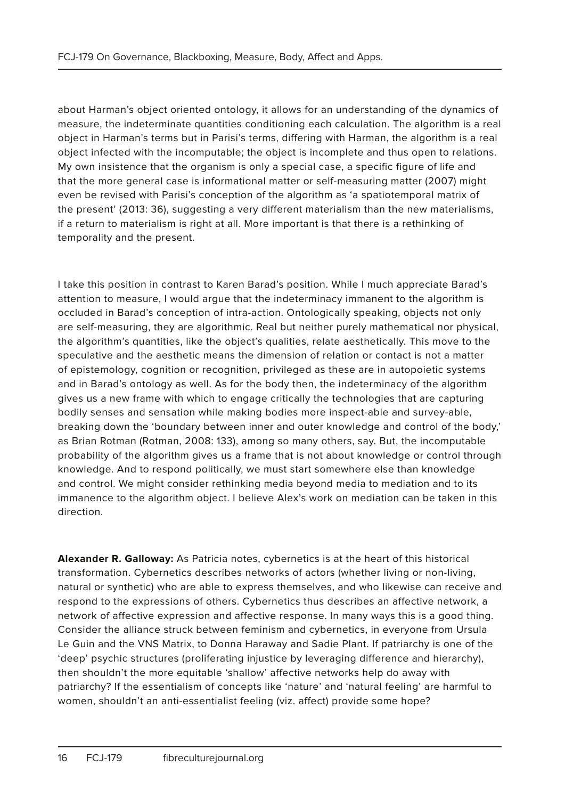about Harman's object oriented ontology, it allows for an understanding of the dynamics of measure, the indeterminate quantities conditioning each calculation. The algorithm is a real object in Harman's terms but in Parisi's terms, differing with Harman, the algorithm is a real object infected with the incomputable; the object is incomplete and thus open to relations. My own insistence that the organism is only a special case, a specific figure of life and that the more general case is informational matter or self-measuring matter (2007) might even be revised with Parisi's conception of the algorithm as 'a spatiotemporal matrix of the present' (2013: 36), suggesting a very different materialism than the new materialisms, if a return to materialism is right at all. More important is that there is a rethinking of temporality and the present.

I take this position in contrast to Karen Barad's position. While I much appreciate Barad's attention to measure, I would argue that the indeterminacy immanent to the algorithm is occluded in Barad's conception of intra-action. Ontologically speaking, objects not only are self-measuring, they are algorithmic. Real but neither purely mathematical nor physical, the algorithm's quantities, like the object's qualities, relate aesthetically. This move to the speculative and the aesthetic means the dimension of relation or contact is not a matter of epistemology, cognition or recognition, privileged as these are in autopoietic systems and in Barad's ontology as well. As for the body then, the indeterminacy of the algorithm gives us a new frame with which to engage critically the technologies that are capturing bodily senses and sensation while making bodies more inspect-able and survey-able, breaking down the 'boundary between inner and outer knowledge and control of the body,' as Brian Rotman (Rotman, 2008: 133), among so many others, say. But, the incomputable probability of the algorithm gives us a frame that is not about knowledge or control through knowledge. And to respond politically, we must start somewhere else than knowledge and control. We might consider rethinking media beyond media to mediation and to its immanence to the algorithm object. I believe Alex's work on mediation can be taken in this direction.

**Alexander R. Galloway:** As Patricia notes, cybernetics is at the heart of this historical transformation. Cybernetics describes networks of actors (whether living or non-living, natural or synthetic) who are able to express themselves, and who likewise can receive and respond to the expressions of others. Cybernetics thus describes an affective network, a network of affective expression and affective response. In many ways this is a good thing. Consider the alliance struck between feminism and cybernetics, in everyone from Ursula Le Guin and the VNS Matrix, to Donna Haraway and Sadie Plant. If patriarchy is one of the 'deep' psychic structures (proliferating injustice by leveraging difference and hierarchy), then shouldn't the more equitable 'shallow' affective networks help do away with patriarchy? If the essentialism of concepts like 'nature' and 'natural feeling' are harmful to women, shouldn't an anti-essentialist feeling (viz. affect) provide some hope?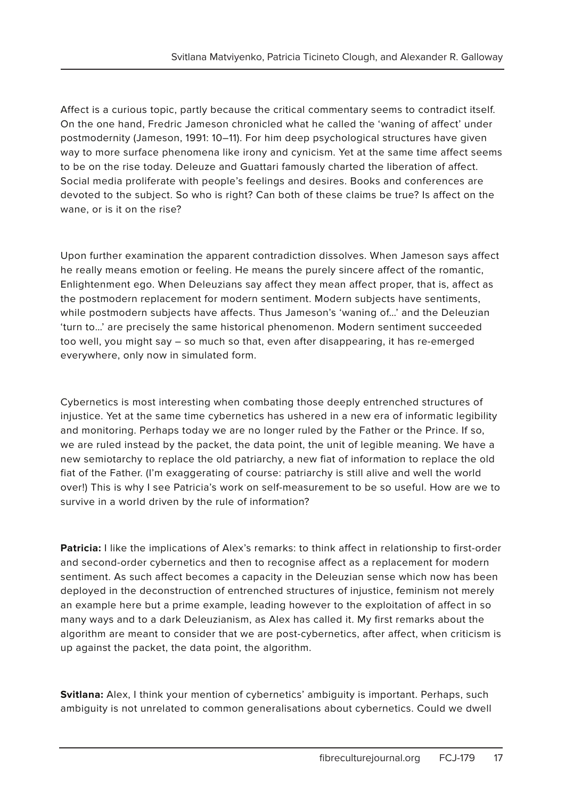Affect is a curious topic, partly because the critical commentary seems to contradict itself. On the one hand, Fredric Jameson chronicled what he called the 'waning of affect' under postmodernity (Jameson, 1991: 10–11). For him deep psychological structures have given way to more surface phenomena like irony and cynicism. Yet at the same time affect seems to be on the rise today. Deleuze and Guattari famously charted the liberation of affect. Social media proliferate with people's feelings and desires. Books and conferences are devoted to the subject. So who is right? Can both of these claims be true? Is affect on the wane, or is it on the rise?

Upon further examination the apparent contradiction dissolves. When Jameson says affect he really means emotion or feeling. He means the purely sincere affect of the romantic, Enlightenment ego. When Deleuzians say affect they mean affect proper, that is, affect as the postmodern replacement for modern sentiment. Modern subjects have sentiments, while postmodern subjects have affects. Thus Jameson's 'waning of…' and the Deleuzian 'turn to…' are precisely the same historical phenomenon. Modern sentiment succeeded too well, you might say – so much so that, even after disappearing, it has re-emerged everywhere, only now in simulated form.

Cybernetics is most interesting when combating those deeply entrenched structures of injustice. Yet at the same time cybernetics has ushered in a new era of informatic legibility and monitoring. Perhaps today we are no longer ruled by the Father or the Prince. If so, we are ruled instead by the packet, the data point, the unit of legible meaning. We have a new semiotarchy to replace the old patriarchy, a new fiat of information to replace the old fiat of the Father. (I'm exaggerating of course: patriarchy is still alive and well the world over!) This is why I see Patricia's work on self-measurement to be so useful. How are we to survive in a world driven by the rule of information?

**Patricia:** I like the implications of Alex's remarks: to think affect in relationship to first-order and second-order cybernetics and then to recognise affect as a replacement for modern sentiment. As such affect becomes a capacity in the Deleuzian sense which now has been deployed in the deconstruction of entrenched structures of injustice, feminism not merely an example here but a prime example, leading however to the exploitation of affect in so many ways and to a dark Deleuzianism, as Alex has called it. My first remarks about the algorithm are meant to consider that we are post-cybernetics, after affect, when criticism is up against the packet, the data point, the algorithm.

**Svitlana:** Alex, I think your mention of cybernetics' ambiguity is important. Perhaps, such ambiguity is not unrelated to common generalisations about cybernetics. Could we dwell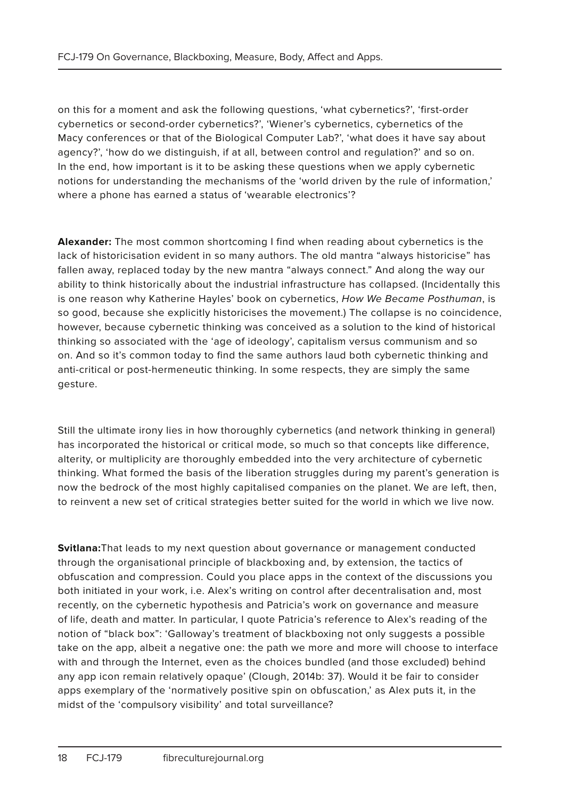on this for a moment and ask the following questions, 'what cybernetics?', 'first-order cybernetics or second-order cybernetics?', 'Wiener's cybernetics, cybernetics of the Macy conferences or that of the Biological Computer Lab?', 'what does it have say about agency?', 'how do we distinguish, if at all, between control and regulation?' and so on. In the end, how important is it to be asking these questions when we apply cybernetic notions for understanding the mechanisms of the 'world driven by the rule of information,' where a phone has earned a status of 'wearable electronics'?

**Alexander:** The most common shortcoming I find when reading about cybernetics is the lack of historicisation evident in so many authors. The old mantra "always historicise" has fallen away, replaced today by the new mantra "always connect." And along the way our ability to think historically about the industrial infrastructure has collapsed. (Incidentally this is one reason why Katherine Hayles' book on cybernetics, How We Became Posthuman, is so good, because she explicitly historicises the movement.) The collapse is no coincidence, however, because cybernetic thinking was conceived as a solution to the kind of historical thinking so associated with the 'age of ideology', capitalism versus communism and so on. And so it's common today to find the same authors laud both cybernetic thinking and anti-critical or post-hermeneutic thinking. In some respects, they are simply the same gesture.

Still the ultimate irony lies in how thoroughly cybernetics (and network thinking in general) has incorporated the historical or critical mode, so much so that concepts like difference, alterity, or multiplicity are thoroughly embedded into the very architecture of cybernetic thinking. What formed the basis of the liberation struggles during my parent's generation is now the bedrock of the most highly capitalised companies on the planet. We are left, then, to reinvent a new set of critical strategies better suited for the world in which we live now.

**Svitlana:**That leads to my next question about governance or management conducted through the organisational principle of blackboxing and, by extension, the tactics of obfuscation and compression. Could you place apps in the context of the discussions you both initiated in your work, i.e. Alex's writing on control after decentralisation and, most recently, on the cybernetic hypothesis and Patricia's work on governance and measure of life, death and matter. In particular, I quote Patricia's reference to Alex's reading of the notion of "black box": 'Galloway's treatment of blackboxing not only suggests a possible take on the app, albeit a negative one: the path we more and more will choose to interface with and through the Internet, even as the choices bundled (and those excluded) behind any app icon remain relatively opaque' (Clough, 2014b: 37). Would it be fair to consider apps exemplary of the 'normatively positive spin on obfuscation,' as Alex puts it, in the midst of the 'compulsory visibility' and total surveillance?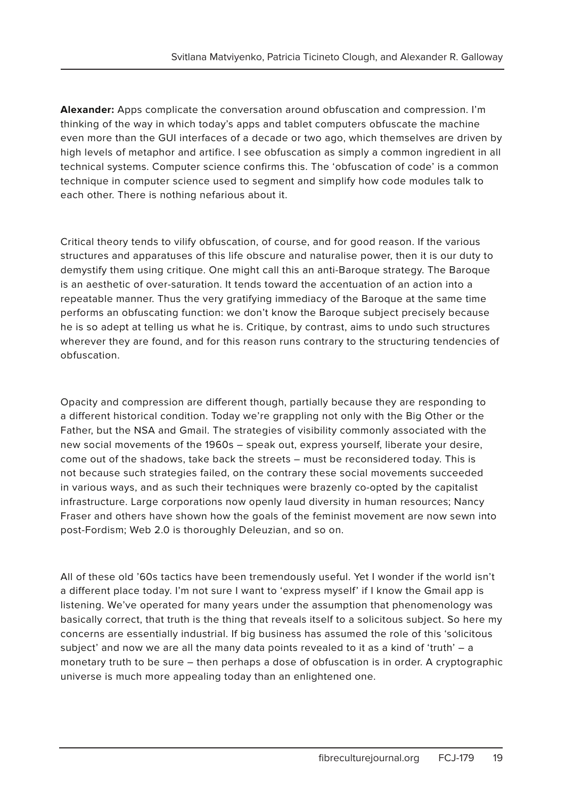**Alexander:** Apps complicate the conversation around obfuscation and compression. I'm thinking of the way in which today's apps and tablet computers obfuscate the machine even more than the GUI interfaces of a decade or two ago, which themselves are driven by high levels of metaphor and artifice. I see obfuscation as simply a common ingredient in all technical systems. Computer science confirms this. The 'obfuscation of code' is a common technique in computer science used to segment and simplify how code modules talk to each other. There is nothing nefarious about it.

Critical theory tends to vilify obfuscation, of course, and for good reason. If the various structures and apparatuses of this life obscure and naturalise power, then it is our duty to demystify them using critique. One might call this an anti-Baroque strategy. The Baroque is an aesthetic of over-saturation. It tends toward the accentuation of an action into a repeatable manner. Thus the very gratifying immediacy of the Baroque at the same time performs an obfuscating function: we don't know the Baroque subject precisely because he is so adept at telling us what he is. Critique, by contrast, aims to undo such structures wherever they are found, and for this reason runs contrary to the structuring tendencies of obfuscation.

Opacity and compression are different though, partially because they are responding to a different historical condition. Today we're grappling not only with the Big Other or the Father, but the NSA and Gmail. The strategies of visibility commonly associated with the new social movements of the 1960s – speak out, express yourself, liberate your desire, come out of the shadows, take back the streets – must be reconsidered today. This is not because such strategies failed, on the contrary these social movements succeeded in various ways, and as such their techniques were brazenly co-opted by the capitalist infrastructure. Large corporations now openly laud diversity in human resources; Nancy Fraser and others have shown how the goals of the feminist movement are now sewn into post-Fordism; Web 2.0 is thoroughly Deleuzian, and so on.

All of these old '60s tactics have been tremendously useful. Yet I wonder if the world isn't a different place today. I'm not sure I want to 'express myself' if I know the Gmail app is listening. We've operated for many years under the assumption that phenomenology was basically correct, that truth is the thing that reveals itself to a solicitous subject. So here my concerns are essentially industrial. If big business has assumed the role of this 'solicitous subject' and now we are all the many data points revealed to it as a kind of 'truth' – a monetary truth to be sure – then perhaps a dose of obfuscation is in order. A cryptographic universe is much more appealing today than an enlightened one.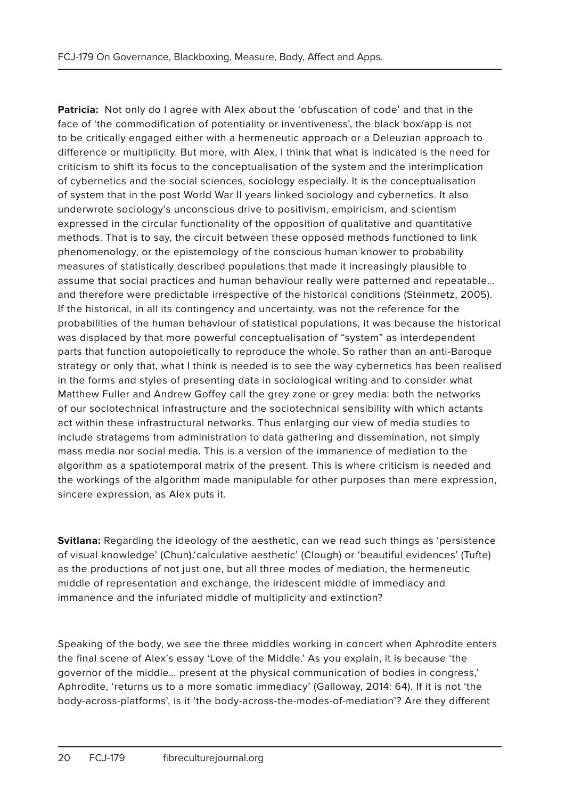**Patricia:** Not only do I agree with Alex about the 'obfuscation of code' and that in the face of 'the commodification of potentiality or inventiveness', the black box/app is not to be critically engaged either with a hermeneutic approach or a Deleuzian approach to difference or multiplicity. But more, with Alex, I think that what is indicated is the need for criticism to shift its focus to the conceptualisation of the system and the interimplication of cybernetics and the social sciences, sociology especially. It is the conceptualisation of system that in the post World War II years linked sociology and cybernetics. It also underwrote sociology's unconscious drive to positivism, empiricism, and scientism expressed in the circular functionality of the opposition of qualitative and quantitative methods. That is to say, the circuit between these opposed methods functioned to link phenomenology, or the epistemology of the conscious human knower to probability measures of statistically described populations that made it increasingly plausible to assume that social practices and human behaviour really were patterned and repeatable… and therefore were predictable irrespective of the historical conditions (Steinmetz, 2005). If the historical, in all its contingency and uncertainty, was not the reference for the probabilities of the human behaviour of statistical populations, it was because the historical was displaced by that more powerful conceptualisation of "system" as interdependent parts that function autopoietically to reproduce the whole. So rather than an anti-Baroque strategy or only that, what I think is needed is to see the way cybernetics has been realised in the forms and styles of presenting data in sociological writing and to consider what Matthew Fuller and Andrew Goffey call the grey zone or grey media: both the networks of our sociotechnical infrastructure and the sociotechnical sensibility with which actants act within these infrastructural networks. Thus enlarging our view of media studies to include stratagems from administration to data gathering and dissemination, not simply mass media nor social media. This is a version of the immanence of mediation to the algorithm as a spatiotemporal matrix of the present. This is where criticism is needed and the workings of the algorithm made manipulable for other purposes than mere expression, sincere expression, as Alex puts it.

**Svitlana:** Regarding the ideology of the aesthetic, can we read such things as 'persistence of visual knowledge' (Chun),'calculative aesthetic' (Clough) or 'beautiful evidences' (Tufte) as the productions of not just one, but all three modes of mediation, the hermeneutic middle of representation and exchange, the iridescent middle of immediacy and immanence and the infuriated middle of multiplicity and extinction?

Speaking of the body, we see the three middles working in concert when Aphrodite enters the final scene of Alex's essay 'Love of the Middle.' As you explain, it is because 'the governor of the middle… present at the physical communication of bodies in congress,' Aphrodite, 'returns us to a more somatic immediacy' (Galloway, 2014: 64). If it is not 'the body-across-platforms', is it 'the body-across-the-modes-of-mediation'? Are they different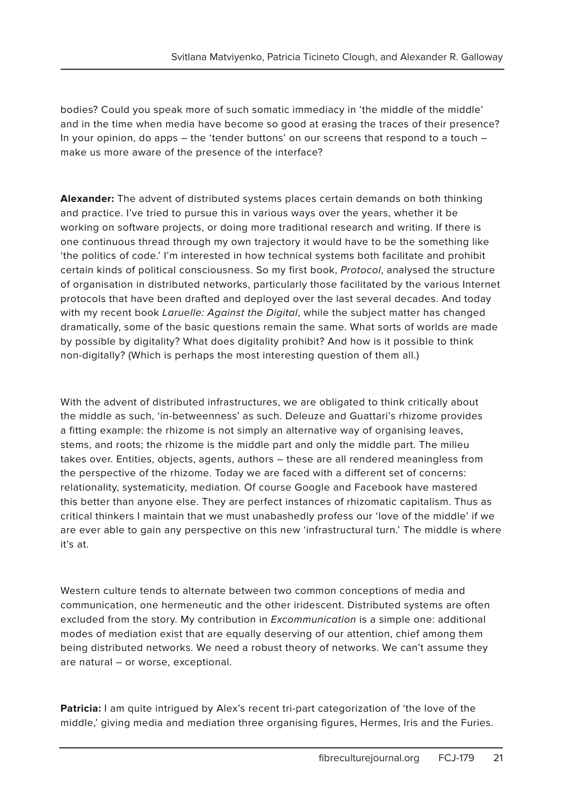bodies? Could you speak more of such somatic immediacy in 'the middle of the middle' and in the time when media have become so good at erasing the traces of their presence? In your opinion, do apps – the 'tender buttons' on our screens that respond to a touch – make us more aware of the presence of the interface?

**Alexander:** The advent of distributed systems places certain demands on both thinking and practice. I've tried to pursue this in various ways over the years, whether it be working on software projects, or doing more traditional research and writing. If there is one continuous thread through my own trajectory it would have to be the something like 'the politics of code.' I'm interested in how technical systems both facilitate and prohibit certain kinds of political consciousness. So my first book, Protocol, analysed the structure of organisation in distributed networks, particularly those facilitated by the various Internet protocols that have been drafted and deployed over the last several decades. And today with my recent book Laruelle: Against the Digital, while the subject matter has changed dramatically, some of the basic questions remain the same. What sorts of worlds are made by possible by digitality? What does digitality prohibit? And how is it possible to think non-digitally? (Which is perhaps the most interesting question of them all.)

With the advent of distributed infrastructures, we are obligated to think critically about the middle as such, 'in-betweenness' as such. Deleuze and Guattari's rhizome provides a fitting example: the rhizome is not simply an alternative way of organising leaves, stems, and roots; the rhizome is the middle part and only the middle part. The milieu takes over. Entities, objects, agents, authors – these are all rendered meaningless from the perspective of the rhizome. Today we are faced with a different set of concerns: relationality, systematicity, mediation. Of course Google and Facebook have mastered this better than anyone else. They are perfect instances of rhizomatic capitalism. Thus as critical thinkers I maintain that we must unabashedly profess our 'love of the middle' if we are ever able to gain any perspective on this new 'infrastructural turn.' The middle is where it's at.

Western culture tends to alternate between two common conceptions of media and communication, one hermeneutic and the other iridescent. Distributed systems are often excluded from the story. My contribution in *Excommunication* is a simple one: additional modes of mediation exist that are equally deserving of our attention, chief among them being distributed networks. We need a robust theory of networks. We can't assume they are natural – or worse, exceptional.

**Patricia:** I am quite intrigued by Alex's recent tri-part categorization of 'the love of the middle,' giving media and mediation three organising figures, Hermes, Iris and the Furies.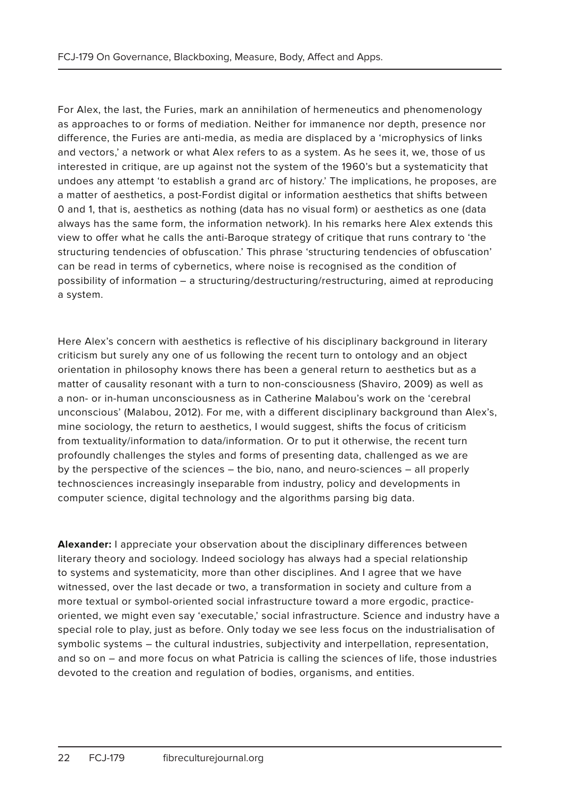For Alex, the last, the Furies, mark an annihilation of hermeneutics and phenomenology as approaches to or forms of mediation. Neither for immanence nor depth, presence nor difference, the Furies are anti-media, as media are displaced by a 'microphysics of links and vectors,' a network or what Alex refers to as a system. As he sees it, we, those of us interested in critique, are up against not the system of the 1960's but a systematicity that undoes any attempt 'to establish a grand arc of history.' The implications, he proposes, are a matter of aesthetics, a post-Fordist digital or information aesthetics that shifts between 0 and 1, that is, aesthetics as nothing (data has no visual form) or aesthetics as one (data always has the same form, the information network). In his remarks here Alex extends this view to offer what he calls the anti-Baroque strategy of critique that runs contrary to 'the structuring tendencies of obfuscation.' This phrase 'structuring tendencies of obfuscation' can be read in terms of cybernetics, where noise is recognised as the condition of possibility of information – a structuring/destructuring/restructuring, aimed at reproducing a system.

Here Alex's concern with aesthetics is reflective of his disciplinary background in literary criticism but surely any one of us following the recent turn to ontology and an object orientation in philosophy knows there has been a general return to aesthetics but as a matter of causality resonant with a turn to non-consciousness (Shaviro, 2009) as well as a non- or in-human unconsciousness as in Catherine Malabou's work on the 'cerebral unconscious' (Malabou, 2012). For me, with a different disciplinary background than Alex's, mine sociology, the return to aesthetics, I would suggest, shifts the focus of criticism from textuality/information to data/information. Or to put it otherwise, the recent turn profoundly challenges the styles and forms of presenting data, challenged as we are by the perspective of the sciences – the bio, nano, and neuro-sciences – all properly technosciences increasingly inseparable from industry, policy and developments in computer science, digital technology and the algorithms parsing big data.

**Alexander:** I appreciate your observation about the disciplinary differences between literary theory and sociology. Indeed sociology has always had a special relationship to systems and systematicity, more than other disciplines. And I agree that we have witnessed, over the last decade or two, a transformation in society and culture from a more textual or symbol-oriented social infrastructure toward a more ergodic, practiceoriented, we might even say 'executable,' social infrastructure. Science and industry have a special role to play, just as before. Only today we see less focus on the industrialisation of symbolic systems – the cultural industries, subjectivity and interpellation, representation, and so on – and more focus on what Patricia is calling the sciences of life, those industries devoted to the creation and regulation of bodies, organisms, and entities.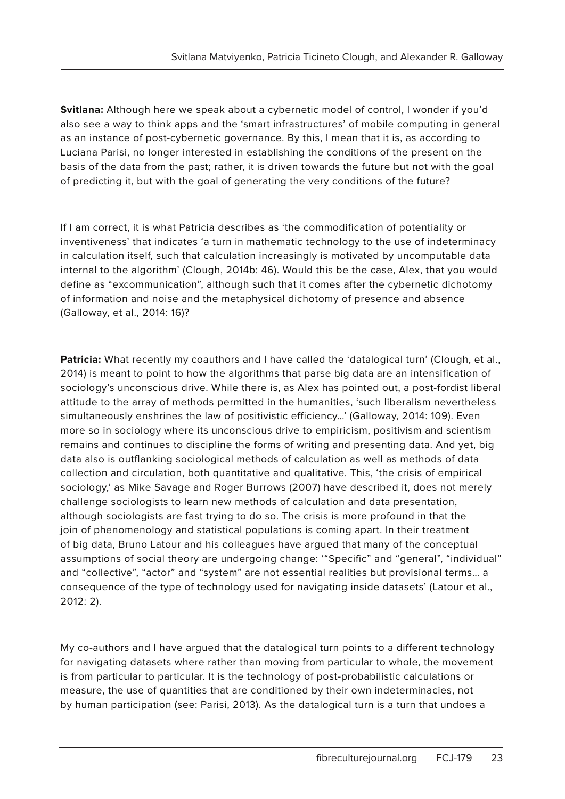**Svitlana:** Although here we speak about a cybernetic model of control, I wonder if you'd also see a way to think apps and the 'smart infrastructures' of mobile computing in general as an instance of post-cybernetic governance. By this, I mean that it is, as according to Luciana Parisi, no longer interested in establishing the conditions of the present on the basis of the data from the past; rather, it is driven towards the future but not with the goal of predicting it, but with the goal of generating the very conditions of the future?

If I am correct, it is what Patricia describes as 'the commodification of potentiality or inventiveness' that indicates 'a turn in mathematic technology to the use of indeterminacy in calculation itself, such that calculation increasingly is motivated by uncomputable data internal to the algorithm' (Clough, 2014b: 46). Would this be the case, Alex, that you would define as "excommunication", although such that it comes after the cybernetic dichotomy of information and noise and the metaphysical dichotomy of presence and absence (Galloway, et al., 2014: 16)?

**Patricia:** What recently my coauthors and I have called the 'datalogical turn' (Clough, et al., 2014) is meant to point to how the algorithms that parse big data are an intensification of sociology's unconscious drive. While there is, as Alex has pointed out, a post-fordist liberal attitude to the array of methods permitted in the humanities, 'such liberalism nevertheless simultaneously enshrines the law of positivistic efficiency…' (Galloway, 2014: 109). Even more so in sociology where its unconscious drive to empiricism, positivism and scientism remains and continues to discipline the forms of writing and presenting data. And yet, big data also is outflanking sociological methods of calculation as well as methods of data collection and circulation, both quantitative and qualitative. This, 'the crisis of empirical sociology,' as Mike Savage and Roger Burrows (2007) have described it, does not merely challenge sociologists to learn new methods of calculation and data presentation, although sociologists are fast trying to do so. The crisis is more profound in that the join of phenomenology and statistical populations is coming apart. In their treatment of big data, Bruno Latour and his colleagues have argued that many of the conceptual assumptions of social theory are undergoing change: '"Specific" and "general", "individual" and "collective", "actor" and "system" are not essential realities but provisional terms… a consequence of the type of technology used for navigating inside datasets' (Latour et al., 2012: 2).

My co-authors and I have argued that the datalogical turn points to a different technology for navigating datasets where rather than moving from particular to whole, the movement is from particular to particular. It is the technology of post-probabilistic calculations or measure, the use of quantities that are conditioned by their own indeterminacies, not by human participation (see: Parisi, 2013). As the datalogical turn is a turn that undoes a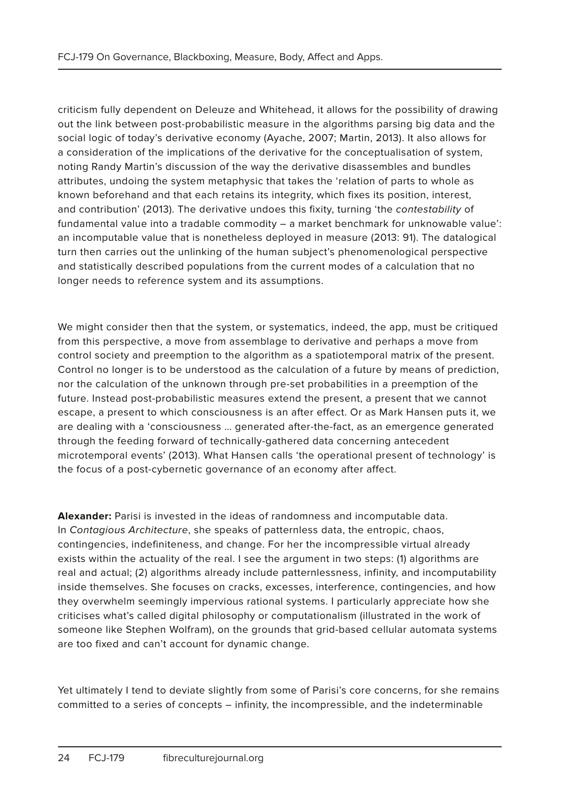criticism fully dependent on Deleuze and Whitehead, it allows for the possibility of drawing out the link between post-probabilistic measure in the algorithms parsing big data and the social logic of today's derivative economy (Ayache, 2007; Martin, 2013). It also allows for a consideration of the implications of the derivative for the conceptualisation of system, noting Randy Martin's discussion of the way the derivative disassembles and bundles attributes, undoing the system metaphysic that takes the 'relation of parts to whole as known beforehand and that each retains its integrity, which fixes its position, interest, and contribution' (2013). The derivative undoes this fixity, turning 'the contestability of fundamental value into a tradable commodity – a market benchmark for unknowable value': an incomputable value that is nonetheless deployed in measure (2013: 91). The datalogical turn then carries out the unlinking of the human subject's phenomenological perspective and statistically described populations from the current modes of a calculation that no longer needs to reference system and its assumptions.

We might consider then that the system, or systematics, indeed, the app, must be critiqued from this perspective, a move from assemblage to derivative and perhaps a move from control society and preemption to the algorithm as a spatiotemporal matrix of the present. Control no longer is to be understood as the calculation of a future by means of prediction, nor the calculation of the unknown through pre-set probabilities in a preemption of the future. Instead post-probabilistic measures extend the present, a present that we cannot escape, a present to which consciousness is an after effect. Or as Mark Hansen puts it, we are dealing with a 'consciousness … generated after-the-fact, as an emergence generated through the feeding forward of technically-gathered data concerning antecedent microtemporal events' (2013). What Hansen calls 'the operational present of technology' is the focus of a post-cybernetic governance of an economy after affect.

**Alexander:** Parisi is invested in the ideas of randomness and incomputable data. In Contagious Architecture, she speaks of patternless data, the entropic, chaos, contingencies, indefiniteness, and change. For her the incompressible virtual already exists within the actuality of the real. I see the argument in two steps: (1) algorithms are real and actual; (2) algorithms already include patternlessness, infinity, and incomputability inside themselves. She focuses on cracks, excesses, interference, contingencies, and how they overwhelm seemingly impervious rational systems. I particularly appreciate how she criticises what's called digital philosophy or computationalism (illustrated in the work of someone like Stephen Wolfram), on the grounds that grid-based cellular automata systems are too fixed and can't account for dynamic change.

Yet ultimately I tend to deviate slightly from some of Parisi's core concerns, for she remains committed to a series of concepts – infinity, the incompressible, and the indeterminable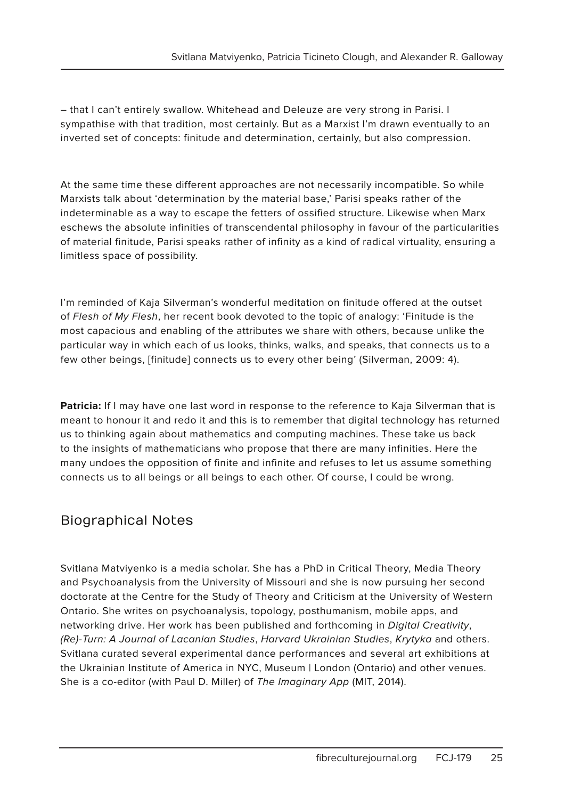– that I can't entirely swallow. Whitehead and Deleuze are very strong in Parisi. I sympathise with that tradition, most certainly. But as a Marxist I'm drawn eventually to an inverted set of concepts: finitude and determination, certainly, but also compression.

At the same time these different approaches are not necessarily incompatible. So while Marxists talk about 'determination by the material base,' Parisi speaks rather of the indeterminable as a way to escape the fetters of ossified structure. Likewise when Marx eschews the absolute infinities of transcendental philosophy in favour of the particularities of material finitude, Parisi speaks rather of infinity as a kind of radical virtuality, ensuring a limitless space of possibility.

I'm reminded of Kaja Silverman's wonderful meditation on finitude offered at the outset of Flesh of My Flesh, her recent book devoted to the topic of analogy: 'Finitude is the most capacious and enabling of the attributes we share with others, because unlike the particular way in which each of us looks, thinks, walks, and speaks, that connects us to a few other beings, [finitude] connects us to every other being' (Silverman, 2009: 4).

**Patricia:** If I may have one last word in response to the reference to Kaja Silverman that is meant to honour it and redo it and this is to remember that digital technology has returned us to thinking again about mathematics and computing machines. These take us back to the insights of mathematicians who propose that there are many infinities. Here the many undoes the opposition of finite and infinite and refuses to let us assume something connects us to all beings or all beings to each other. Of course, I could be wrong.

### Biographical Notes

Svitlana Matviyenko is a media scholar. She has a PhD in Critical Theory, Media Theory and Psychoanalysis from the University of Missouri and she is now pursuing her second doctorate at the Centre for the Study of Theory and Criticism at the University of Western Ontario. She writes on psychoanalysis, topology, posthumanism, mobile apps, and networking drive. Her work has been published and forthcoming in Digital Creativity, (Re)-Turn: A Journal of Lacanian Studies, Harvard Ukrainian Studies, Krytyka and others. Svitlana curated several experimental dance performances and several art exhibitions at the Ukrainian Institute of America in NYC, Museum | London (Ontario) and other venues. She is a co-editor (with Paul D. Miller) of The Imaginary App (MIT, 2014).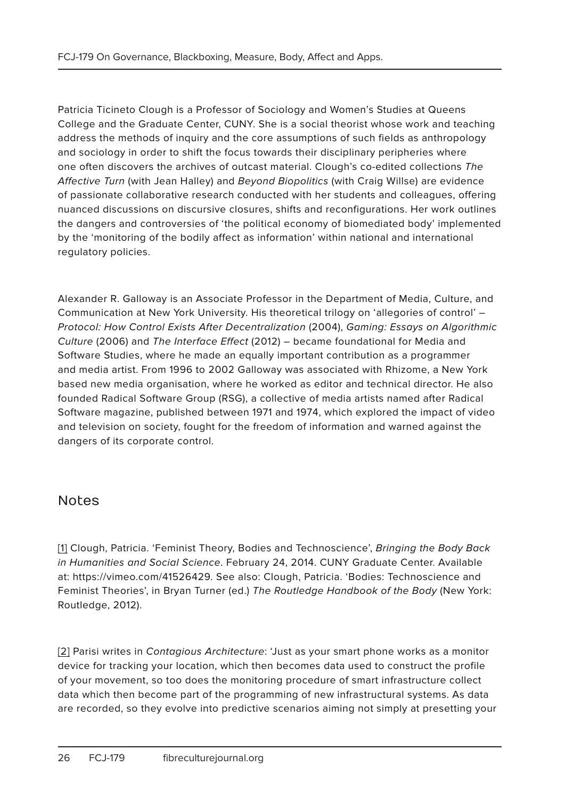Patricia Ticineto Clough is a Professor of Sociology and Women's Studies at Queens College and the Graduate Center, CUNY. She is a social theorist whose work and teaching address the methods of inquiry and the core assumptions of such fields as anthropology and sociology in order to shift the focus towards their disciplinary peripheries where one often discovers the archives of outcast material. Clough's co-edited collections The Affective Turn (with Jean Halley) and Beyond Biopolitics (with Craig Willse) are evidence of passionate collaborative research conducted with her students and colleagues, offering nuanced discussions on discursive closures, shifts and reconfigurations. Her work outlines the dangers and controversies of 'the political economy of biomediated body' implemented by the 'monitoring of the bodily affect as information' within national and international regulatory policies.

Alexander R. Galloway is an Associate Professor in the Department of Media, Culture, and Communication at New York University. His theoretical trilogy on 'allegories of control' – Protocol: How Control Exists After Decentralization (2004), Gaming: Essays on Algorithmic Culture (2006) and The Interface Effect (2012) – became foundational for Media and Software Studies, where he made an equally important contribution as a programmer and media artist. From 1996 to 2002 Galloway was associated with Rhizome, a New York based new media organisation, where he worked as editor and technical director. He also founded Radical Software Group (RSG), a collective of media artists named after Radical Software magazine, published between 1971 and 1974, which explored the impact of video and television on society, fought for the freedom of information and warned against the dangers of its corporate control.

#### Notes

[1] Clough, Patricia. 'Feminist Theory, Bodies and Technoscience', Bringing the Body Back in Humanities and Social Science. February 24, 2014. CUNY Graduate Center. Available at: https://vimeo.com/41526429. See also: Clough, Patricia. 'Bodies: Technoscience and Feminist Theories', in Bryan Turner (ed.) The Routledge Handbook of the Body (New York: Routledge, 2012).

[2] Parisi writes in Contagious Architecture: 'Just as your smart phone works as a monitor device for tracking your location, which then becomes data used to construct the profile of your movement, so too does the monitoring procedure of smart infrastructure collect data which then become part of the programming of new infrastructural systems. As data are recorded, so they evolve into predictive scenarios aiming not simply at presetting your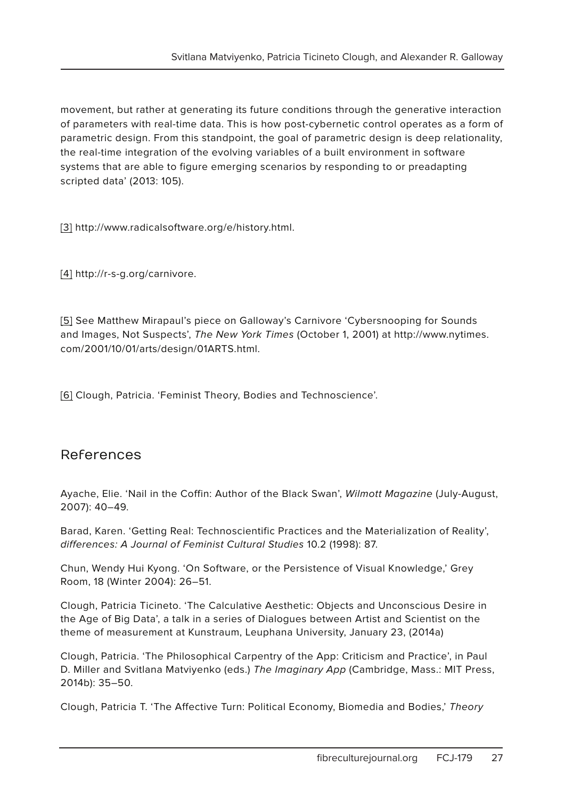movement, but rather at generating its future conditions through the generative interaction of parameters with real-time data. This is how post-cybernetic control operates as a form of parametric design. From this standpoint, the goal of parametric design is deep relationality, the real-time integration of the evolving variables of a built environment in software systems that are able to figure emerging scenarios by responding to or preadapting scripted data' (2013: 105).

[3] http://www.radicalsoftware.org/e/history.html.

[4] http://r-s-g.org/carnivore.

[5] See Matthew Mirapaul's piece on Galloway's Carnivore 'Cybersnooping for Sounds and Images, Not Suspects', The New York Times (October 1, 2001) at http://www.nytimes. com/2001/10/01/arts/design/01ARTS.html.

[6] Clough, Patricia. 'Feminist Theory, Bodies and Technoscience'.

#### References

Ayache, Elie. 'Nail in the Coffin: Author of the Black Swan', Wilmott Magazine (July-August, 2007): 40–49.

Barad, Karen. 'Getting Real: Technoscientific Practices and the Materialization of Reality', differences: A Journal of Feminist Cultural Studies 10.2 (1998): 87.

Chun, Wendy Hui Kyong. 'On Software, or the Persistence of Visual Knowledge,' Grey Room, 18 (Winter 2004): 26–51.

Clough, Patricia Ticineto. 'The Calculative Aesthetic: Objects and Unconscious Desire in the Age of Big Data', a talk in a series of Dialogues between Artist and Scientist on the theme of measurement at Kunstraum, Leuphana University, January 23, (2014a)

Clough, Patricia. 'The Philosophical Carpentry of the App: Criticism and Practice', in Paul D. Miller and Svitlana Matviyenko (eds.) The Imaginary App (Cambridge, Mass.: MIT Press, 2014b): 35–50.

Clough, Patricia T. 'The Affective Turn: Political Economy, Biomedia and Bodies,' Theory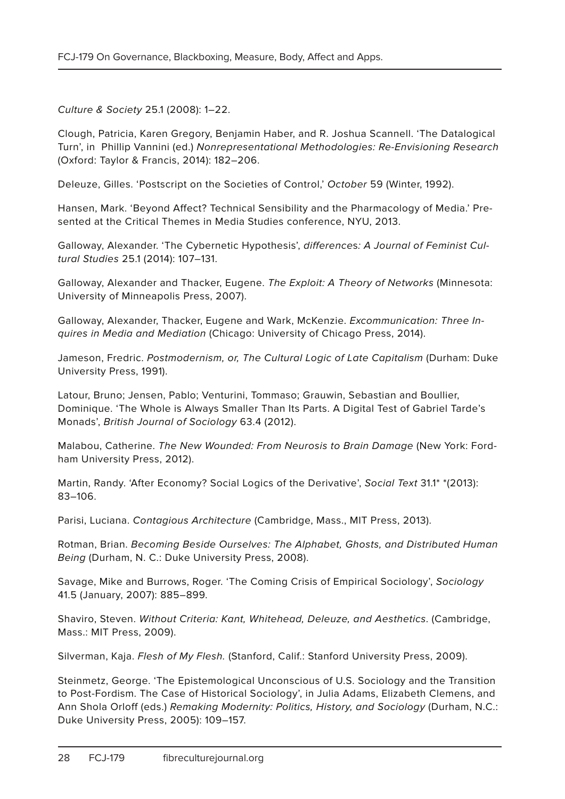Culture & Society 25.1 (2008): 1–22.

Clough, Patricia, Karen Gregory, Benjamin Haber, and R. Joshua Scannell. 'The Datalogical Turn', in Phillip Vannini (ed.) Nonrepresentational Methodologies: Re-Envisioning Research (Oxford: Taylor & Francis, 2014): 182–206.

Deleuze, Gilles. 'Postscript on the Societies of Control,' October 59 (Winter, 1992).

Hansen, Mark. 'Beyond Affect? Technical Sensibility and the Pharmacology of Media.' Presented at the Critical Themes in Media Studies conference, NYU, 2013.

Galloway, Alexander. 'The Cybernetic Hypothesis', differences: A Journal of Feminist Cultural Studies 25.1 (2014): 107–131.

Galloway, Alexander and Thacker, Eugene. The Exploit: A Theory of Networks (Minnesota: University of Minneapolis Press, 2007).

Galloway, Alexander, Thacker, Eugene and Wark, McKenzie. Excommunication: Three Inquires in Media and Mediation (Chicago: University of Chicago Press, 2014).

Jameson, Fredric. Postmodernism, or, The Cultural Logic of Late Capitalism (Durham: Duke University Press, 1991).

Latour, Bruno; Jensen, Pablo; Venturini, Tommaso; Grauwin, Sebastian and Boullier, Dominique. 'The Whole is Always Smaller Than Its Parts. A Digital Test of Gabriel Tarde's Monads', British Journal of Sociology 63.4 (2012).

Malabou, Catherine. The New Wounded: From Neurosis to Brain Damage (New York: Fordham University Press, 2012).

Martin, Randy. 'After Economy? Social Logics of the Derivative', Social Text 31.1<sup>\*</sup> \* (2013): 83–106.

Parisi, Luciana. Contagious Architecture (Cambridge, Mass., MIT Press, 2013).

Rotman, Brian. Becoming Beside Ourselves: The Alphabet, Ghosts, and Distributed Human Being (Durham, N. C.: Duke University Press, 2008).

Savage, Mike and Burrows, Roger. 'The Coming Crisis of Empirical Sociology', Sociology 41.5 (January, 2007): 885–899.

Shaviro, Steven. Without Criteria: Kant, Whitehead, Deleuze, and Aesthetics. (Cambridge, Mass.: MIT Press, 2009).

Silverman, Kaja. Flesh of My Flesh. (Stanford, Calif.: Stanford University Press, 2009).

Steinmetz, George. 'The Epistemological Unconscious of U.S. Sociology and the Transition to Post-Fordism. The Case of Historical Sociology', in Julia Adams, Elizabeth Clemens, and Ann Shola Orloff (eds.) Remaking Modernity: Politics, History, and Sociology (Durham, N.C.: Duke University Press, 2005): 109–157.